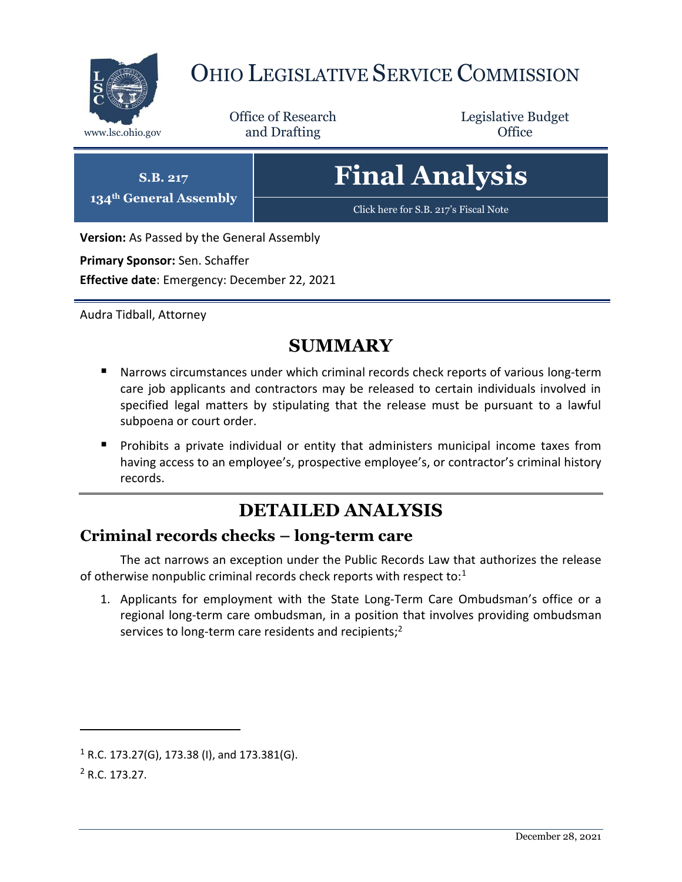

## OHIO LEGISLATIVE SERVICE COMMISSION

Office of Research www.lsc.ohio.gov **and Drafting Office** 

Legislative Budget

# **Final Analysis**

[Click here for S.B. 217](https://www.legislature.ohio.gov/legislation/legislation-documents?id=GA134-SB-217)'s Fiscal Note

**Version:** As Passed by the General Assembly

**Primary Sponsor:** Sen. Schaffer

**S.B. 217 134th General Assembly**

**Effective date**: Emergency: December 22, 2021

Audra Tidball, Attorney

## **SUMMARY**

- Narrows circumstances under which criminal records check reports of various long-term care job applicants and contractors may be released to certain individuals involved in specified legal matters by stipulating that the release must be pursuant to a lawful subpoena or court order.
- **Prohibits a private individual or entity that administers municipal income taxes from** having access to an employee's, prospective employee's, or contractor's criminal history records.

## **DETAILED ANALYSIS**

#### **Criminal records checks – long-term care**

The act narrows an exception under the Public Records Law that authorizes the release of otherwise nonpublic criminal records check reports with respect to: $1$ 

1. Applicants for employment with the State Long-Term Care Ombudsman's office or a regional long-term care ombudsman, in a position that involves providing ombudsman services to long-term care residents and recipients; $2$ 

 $\overline{a}$ 

 $1 R.C. 173.27(G), 173.38 (I),$  and  $173.381(G).$ 

<sup>2</sup> R.C. 173.27.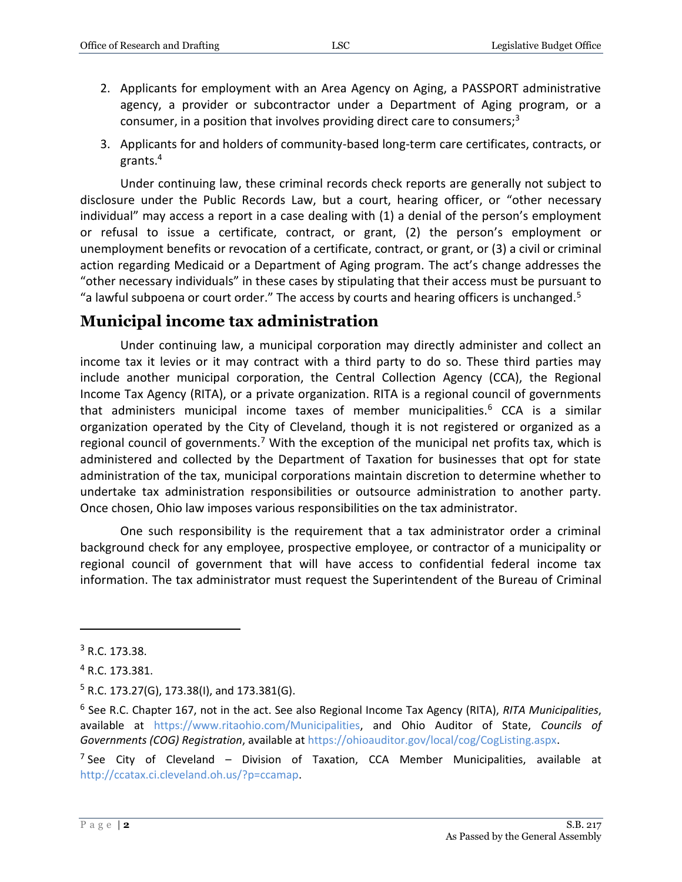- 2. Applicants for employment with an Area Agency on Aging, a PASSPORT administrative agency, a provider or subcontractor under a Department of Aging program, or a consumer, in a position that involves providing direct care to consumers; $3$
- 3. Applicants for and holders of community-based long-term care certificates, contracts, or grants.<sup>4</sup>

Under continuing law, these criminal records check reports are generally not subject to disclosure under the Public Records Law, but a court, hearing officer, or "other necessary individual" may access a report in a case dealing with (1) a denial of the person's employment or refusal to issue a certificate, contract, or grant, (2) the person's employment or unemployment benefits or revocation of a certificate, contract, or grant, or (3) a civil or criminal action regarding Medicaid or a Department of Aging program. The act's change addresses the "other necessary individuals" in these cases by stipulating that their access must be pursuant to "a lawful subpoena or court order." The access by courts and hearing officers is unchanged.<sup>5</sup>

#### **Municipal income tax administration**

Under continuing law, a municipal corporation may directly administer and collect an income tax it levies or it may contract with a third party to do so. These third parties may include another municipal corporation, the Central Collection Agency (CCA), the Regional Income Tax Agency (RITA), or a private organization. RITA is a regional council of governments that administers municipal income taxes of member municipalities.<sup>6</sup> CCA is a similar organization operated by the City of Cleveland, though it is not registered or organized as a regional council of governments.<sup>7</sup> With the exception of the municipal net profits tax, which is administered and collected by the Department of Taxation for businesses that opt for state administration of the tax, municipal corporations maintain discretion to determine whether to undertake tax administration responsibilities or outsource administration to another party. Once chosen, Ohio law imposes various responsibilities on the tax administrator.

One such responsibility is the requirement that a tax administrator order a criminal background check for any employee, prospective employee, or contractor of a municipality or regional council of government that will have access to confidential federal income tax information. The tax administrator must request the Superintendent of the Bureau of Criminal

 $\overline{a}$ 

<sup>3</sup> R.C. 173.38.

<sup>4</sup> R.C. 173.381.

 $5$  R.C. 173.27(G), 173.38(I), and 173.381(G).

<sup>6</sup> See R.C. Chapter 167, not in the act. See also Regional Income Tax Agency (RITA), *RITA Municipalities*, available at [https://www.ritaohio.com/Municipalities,](https://www.ritaohio.com/Municipalities) and Ohio Auditor of State, *Councils of Governments (COG) Registration*, available at [https://ohioauditor.gov/local/cog/CogListing.aspx.](https://ohioauditor.gov/local/cog/CogListing.aspx)

<sup>&</sup>lt;sup>7</sup> See City of Cleveland – Division of Taxation, CCA Member Municipalities, available at [http://ccatax.ci.cleveland.oh.us/?p=ccamap.](http://ccatax.ci.cleveland.oh.us/?p=ccamap)